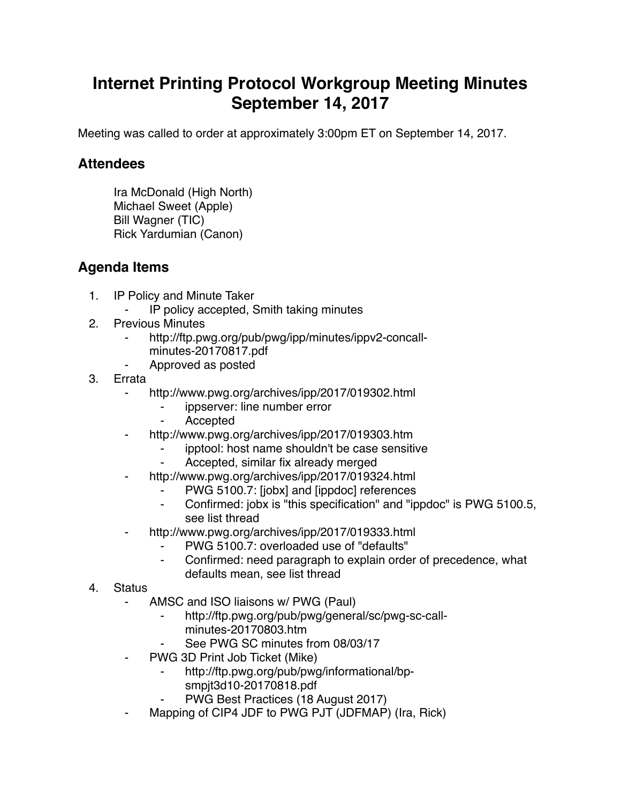## **Internet Printing Protocol Workgroup Meeting Minutes September 14, 2017**

Meeting was called to order at approximately 3:00pm ET on September 14, 2017.

## **Attendees**

Ira McDonald (High North) Michael Sweet (Apple) Bill Wagner (TIC) Rick Yardumian (Canon)

## **Agenda Items**

- 1. IP Policy and Minute Taker
	- IP policy accepted, Smith taking minutes
- 2. Previous Minutes
	- http://ftp.pwg.org/pub/pwg/ipp/minutes/ippv2-concall
		- minutes-20170817.pdf
	- ⁃ Approved as posted
- 3. Errata
	- ⁃ http://www.pwg.org/archives/ipp/2017/019302.html
		- ippserver: line number error
		- **Accepted**
	- http://www.pwg.org/archives/ipp/2017/019303.htm
		- ipptool: host name shouldn't be case sensitive
		- Accepted, similar fix already merged
	- http://www.pwg.org/archives/ipp/2017/019324.html
		- PWG 5100.7: [jobx] and [ippdoc] references
		- Confirmed: jobx is "this specification" and "ippdoc" is PWG 5100.5, see list thread
	- http://www.pwg.org/archives/ipp/2017/019333.html
		- PWG 5100.7: overloaded use of "defaults"
		- ⁃ Confirmed: need paragraph to explain order of precedence, what defaults mean, see list thread
- 4. Status
	- AMSC and ISO liaisons w/ PWG (Paul)
		- http://ftp.pwg.org/pub/pwg/general/sc/pwg-sc-callminutes-20170803.htm
		- See PWG SC minutes from 08/03/17
	- PWG 3D Print Job Ticket (Mike)
		- http://ftp.pwg.org/pub/pwg/informational/bpsmpjt3d10-20170818.pdf
		- PWG Best Practices (18 August 2017)
	- Mapping of CIP4 JDF to PWG PJT (JDFMAP) (Ira, Rick)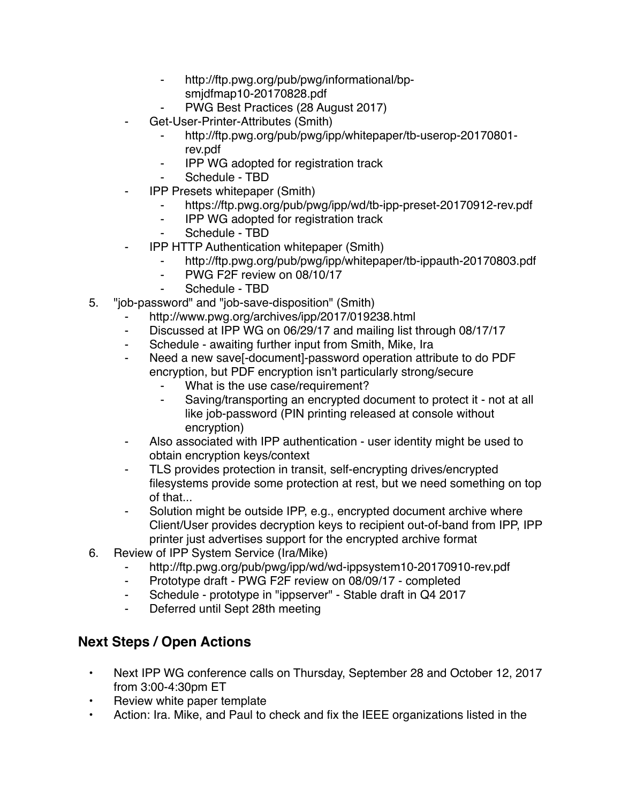- ⁃ http://ftp.pwg.org/pub/pwg/informational/bp
	- smjdfmap10-20170828.pdf
- PWG Best Practices (28 August 2017)
- Get-User-Printer-Attributes (Smith)
	- ⁃ http://ftp.pwg.org/pub/pwg/ipp/whitepaper/tb-userop-20170801 rev.pdf
	- ⁃ IPP WG adopted for registration track
	- Schedule TBD
- ⁃ IPP Presets whitepaper (Smith)
	- ⁃ https://ftp.pwg.org/pub/pwg/ipp/wd/tb-ipp-preset-20170912-rev.pdf
	- ⁃ IPP WG adopted for registration track
	- ⁃ Schedule TBD
- **IPP HTTP Authentication whitepaper (Smith)** 
	- http://ftp.pwg.org/pub/pwg/ipp/whitepaper/tb-ippauth-20170803.pdf
	- ⁃ PWG F2F review on 08/10/17
	- Schedule TBD
- 5. "job-password" and "job-save-disposition" (Smith)
	- http://www.pwg.org/archives/ipp/2017/019238.html
	- ⁃ Discussed at IPP WG on 06/29/17 and mailing list through 08/17/17
	- ⁃ Schedule awaiting further input from Smith, Mike, Ira
	- Need a new save[-document]-password operation attribute to do PDF encryption, but PDF encryption isn't particularly strong/secure
		- What is the use case/requirement?
		- ⁃ Saving/transporting an encrypted document to protect it not at all like job-password (PIN printing released at console without encryption)
	- Also associated with IPP authentication user identity might be used to obtain encryption keys/context
	- ⁃ TLS provides protection in transit, self-encrypting drives/encrypted filesystems provide some protection at rest, but we need something on top of that...
	- Solution might be outside IPP, e.g., encrypted document archive where Client/User provides decryption keys to recipient out-of-band from IPP, IPP printer just advertises support for the encrypted archive format
- 6. Review of IPP System Service (Ira/Mike)
	- http://ftp.pwg.org/pub/pwg/ipp/wd/wd-ippsystem10-20170910-rev.pdf
	- ⁃ Prototype draft PWG F2F review on 08/09/17 completed
	- Schedule prototype in "ippserver" Stable draft in Q4 2017
	- ⁃ Deferred until Sept 28th meeting

## **Next Steps / Open Actions**

- Next IPP WG conference calls on Thursday, September 28 and October 12, 2017 from 3:00-4:30pm ET
- Review white paper template
- Action: Ira. Mike, and Paul to check and fix the IEEE organizations listed in the